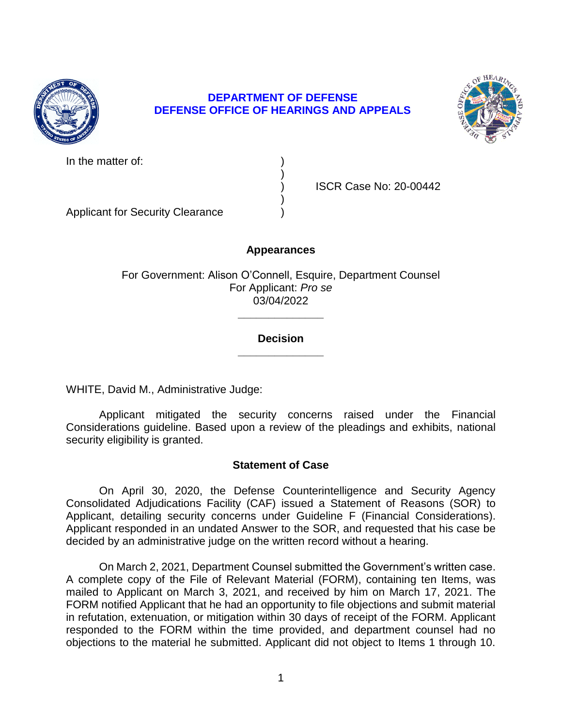

## **DEPARTMENT OF DEFENSE DEFENSE OFFICE OF HEARINGS AND APPEALS**

)

)



In the matter of:

) ISCR Case No: 20-00442

Applicant for Security Clearance )

## **Appearances**

For Government: Alison O'Connell, Esquire, Department Counsel For Applicant: *Pro se*  03/04/2022

## **\_\_\_\_\_\_\_\_\_\_\_\_\_\_ Decision**

**\_\_\_\_\_\_\_\_\_\_\_\_\_\_** 

WHITE, David M., Administrative Judge:

 Applicant mitigated the security concerns raised under the Financial Considerations guideline. Based upon a review of the pleadings and exhibits, national security eligibility is granted.

## **Statement of Case**

 On April 30, 2020, the Defense Counterintelligence and Security Agency Applicant, detailing security concerns under Guideline F (Financial Considerations). Applicant responded in an undated Answer to the SOR, and requested that his case be Consolidated Adjudications Facility (CAF) issued a Statement of Reasons (SOR) to decided by an administrative judge on the written record without a hearing.

 On March 2, 2021, Department Counsel submitted the Government's written case. A complete copy of the File of Relevant Material (FORM), containing ten Items, was mailed to Applicant on March 3, 2021, and received by him on March 17, 2021. The FORM notified Applicant that he had an opportunity to file objections and submit material in refutation, extenuation, or mitigation within 30 days of receipt of the FORM. Applicant responded to the FORM within the time provided, and department counsel had no objections to the material he submitted. Applicant did not object to Items 1 through 10.